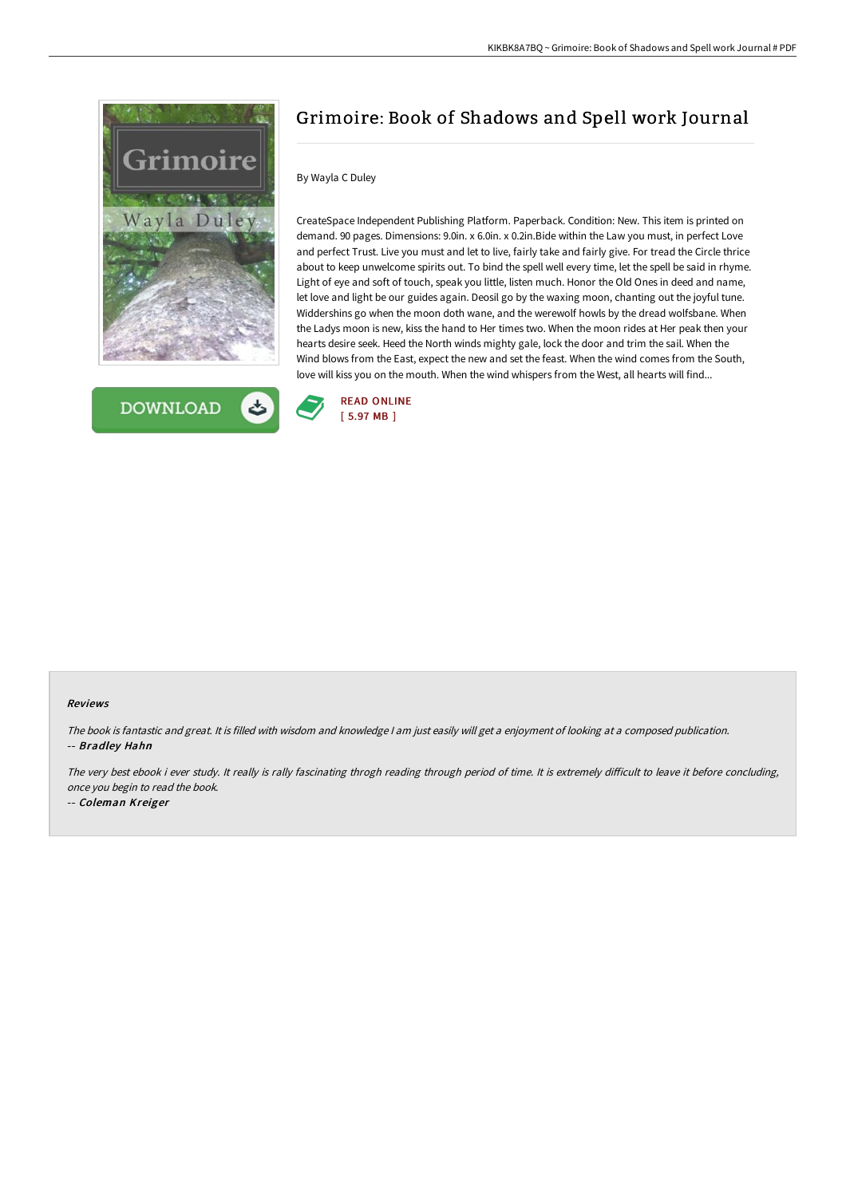



# Grimoire: Book of Shadows and Spell work Journal

## By Wayla C Duley

CreateSpace Independent Publishing Platform. Paperback. Condition: New. This item is printed on demand. 90 pages. Dimensions: 9.0in. x 6.0in. x 0.2in.Bide within the Law you must, in perfect Love and perfect Trust. Live you must and let to live, fairly take and fairly give. For tread the Circle thrice about to keep unwelcome spirits out. To bind the spell well every time, let the spell be said in rhyme. Light of eye and soft of touch, speak you little, listen much. Honor the Old Ones in deed and name, let love and light be our guides again. Deosil go by the waxing moon, chanting out the joyful tune. Widdershins go when the moon doth wane, and the werewolf howls by the dread wolfsbane. When the Ladys moon is new, kiss the hand to Her times two. When the moon rides at Her peak then your hearts desire seek. Heed the North winds mighty gale, lock the door and trim the sail. When the Wind blows from the East, expect the new and set the feast. When the wind comes from the South, love will kiss you on the mouth. When the wind whispers from the West, all hearts will find...



#### Reviews

The book is fantastic and great. It is filled with wisdom and knowledge <sup>I</sup> am just easily will get <sup>a</sup> enjoyment of looking at <sup>a</sup> composed publication. -- Bradley Hahn

The very best ebook i ever study. It really is rally fascinating throgh reading through period of time. It is extremely difficult to leave it before concluding, once you begin to read the book.

-- Coleman Kreiger